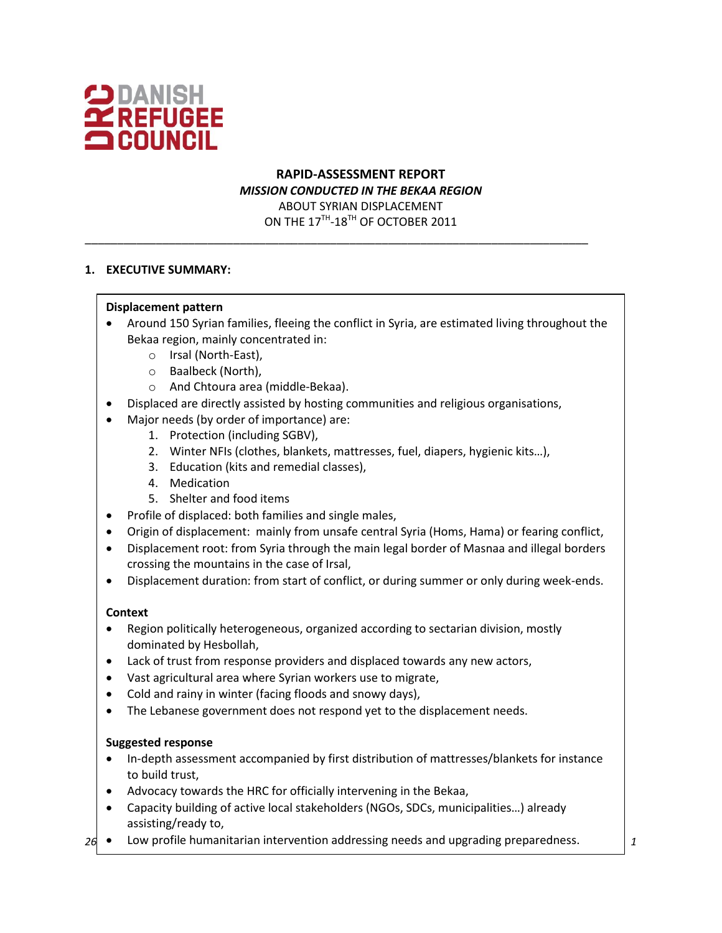

# **RAPID-ASSESSMENT REPORT** *MISSION CONDUCTED IN THE BEKAA REGION* ABOUT SYRIAN DISPLACEMENT ON THE  $17^{\text{TH}}$ - $18^{\text{TH}}$  OF OCTOBER 2011

\_\_\_\_\_\_\_\_\_\_\_\_\_\_\_\_\_\_\_\_\_\_\_\_\_\_\_\_\_\_\_\_\_\_\_\_\_\_\_\_\_\_\_\_\_\_\_\_\_\_\_\_\_\_\_\_\_\_\_\_\_\_\_\_\_\_\_\_\_\_\_\_\_\_\_\_\_\_

## **1. EXECUTIVE SUMMARY:**

#### **Displacement pattern**

- Around 150 Syrian families, fleeing the conflict in Syria, are estimated living throughout the Bekaa region, mainly concentrated in:
	- o Irsal (North-East),
	- o Baalbeck (North),
	- o And Chtoura area (middle-Bekaa).
- Displaced are directly assisted by hosting communities and religious organisations,
- Major needs (by order of importance) are:
	- 1. Protection (including SGBV),
	- 2. Winter NFIs (clothes, blankets, mattresses, fuel, diapers, hygienic kits…),
	- 3. Education (kits and remedial classes),
	- 4. Medication
	- 5. Shelter and food items
- Profile of displaced: both families and single males,
- Origin of displacement: mainly from unsafe central Syria (Homs, Hama) or fearing conflict,
- Displacement root: from Syria through the main legal border of Masnaa and illegal borders crossing the mountains in the case of Irsal,
- Displacement duration: from start of conflict, or during summer or only during week-ends.

#### **Context**

- Region politically heterogeneous, organized according to sectarian division, mostly dominated by Hesbollah,
- Lack of trust from response providers and displaced towards any new actors,
- Vast agricultural area where Syrian workers use to migrate,
- Cold and rainy in winter (facing floods and snowy days),
- The Lebanese government does not respond yet to the displacement needs.

#### **Suggested response**

- In-depth assessment accompanied by first distribution of mattresses/blankets for instance to build trust,
- Advocacy towards the HRC for officially intervening in the Bekaa,
- Capacity building of active local stakeholders (NGOs, SDCs, municipalities…) already assisting/ready to,
- 26 Low profile humanitarian intervention addressing needs and upgrading preparedness.  $\begin{array}{|c} \hline \end{array}$  1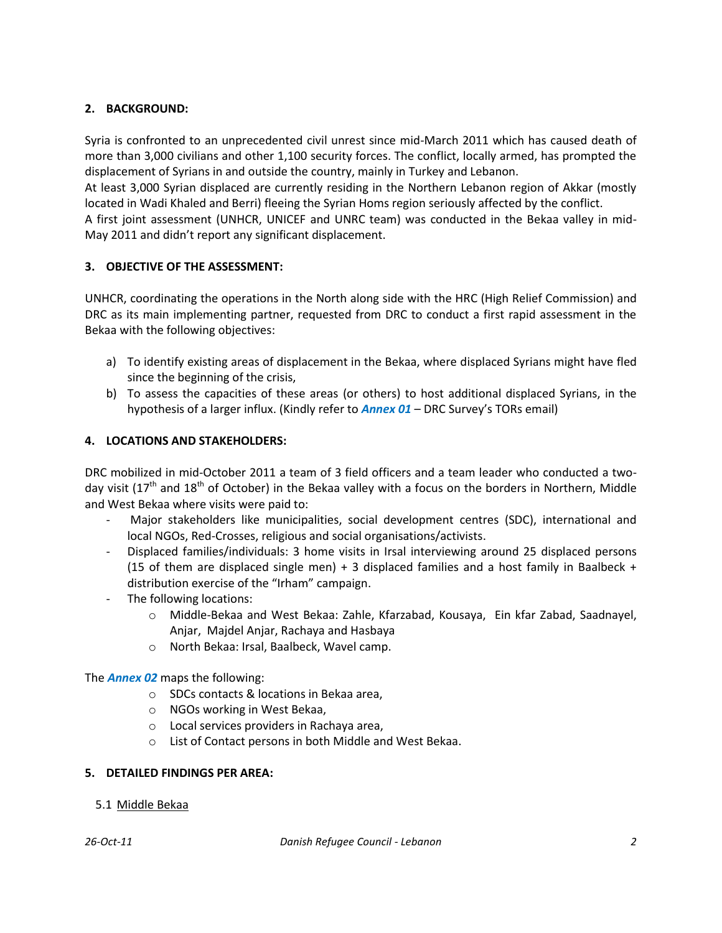# **2. BACKGROUND:**

Syria is confronted to an unprecedented civil unrest since mid-March 2011 which has caused death of more than 3,000 civilians and other 1,100 security forces. The conflict, locally armed, has prompted the displacement of Syrians in and outside the country, mainly in Turkey and Lebanon.

At least 3,000 Syrian displaced are currently residing in the Northern Lebanon region of Akkar (mostly located in Wadi Khaled and Berri) fleeing the Syrian Homs region seriously affected by the conflict.

A first joint assessment (UNHCR, UNICEF and UNRC team) was conducted in the Bekaa valley in mid-May 2011 and didn't report any significant displacement.

## **3. OBJECTIVE OF THE ASSESSMENT:**

UNHCR, coordinating the operations in the North along side with the HRC (High Relief Commission) and DRC as its main implementing partner, requested from DRC to conduct a first rapid assessment in the Bekaa with the following objectives:

- a) To identify existing areas of displacement in the Bekaa, where displaced Syrians might have fled since the beginning of the crisis,
- b) To assess the capacities of these areas (or others) to host additional displaced Syrians, in the hypothesis of a larger influx. (Kindly refer to *Annex 01* – DRC Survey's TORs email)

## **4. LOCATIONS AND STAKEHOLDERS:**

DRC mobilized in mid-October 2011 a team of 3 field officers and a team leader who conducted a twoday visit (17<sup>th</sup> and 18<sup>th</sup> of October) in the Bekaa valley with a focus on the borders in Northern, Middle and West Bekaa where visits were paid to:

- Major stakeholders like municipalities, social development centres (SDC), international and local NGOs, Red-Crosses, religious and social organisations/activists.
- Displaced families/individuals: 3 home visits in Irsal interviewing around 25 displaced persons (15 of them are displaced single men) + 3 displaced families and a host family in Baalbeck + distribution exercise of the "Irham" campaign.
- The following locations:
	- o Middle-Bekaa and West Bekaa: Zahle, Kfarzabad, Kousaya, Ein kfar Zabad, Saadnayel, Anjar, Majdel Anjar, Rachaya and Hasbaya
	- o North Bekaa: Irsal, Baalbeck, Wavel camp.

The *Annex 02* maps the following:

- o SDCs contacts & locations in Bekaa area,
- o NGOs working in West Bekaa,
- o Local services providers in Rachaya area,
- o List of Contact persons in both Middle and West Bekaa.

#### **5. DETAILED FINDINGS PER AREA:**

5.1 Middle Bekaa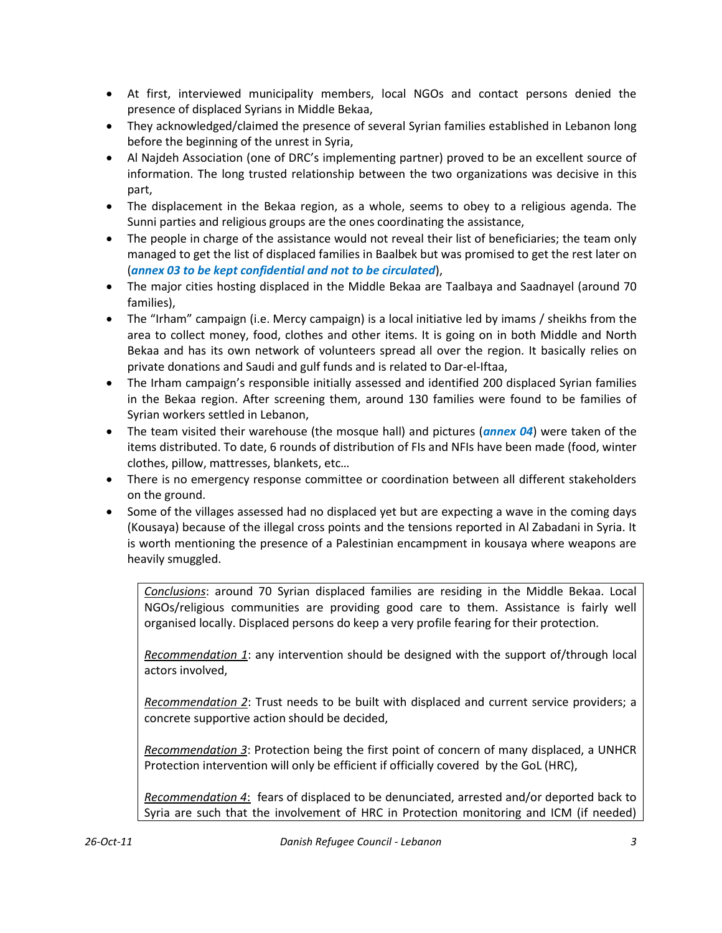- At first, interviewed municipality members, local NGOs and contact persons denied the presence of displaced Syrians in Middle Bekaa,
- They acknowledged/claimed the presence of several Syrian families established in Lebanon long before the beginning of the unrest in Syria,
- Al Najdeh Association (one of DRC's implementing partner) proved to be an excellent source of information. The long trusted relationship between the two organizations was decisive in this part,
- The displacement in the Bekaa region, as a whole, seems to obey to a religious agenda. The Sunni parties and religious groups are the ones coordinating the assistance,
- The people in charge of the assistance would not reveal their list of beneficiaries; the team only managed to get the list of displaced families in Baalbek but was promised to get the rest later on (*annex 03 to be kept confidential and not to be circulated*),
- The major cities hosting displaced in the Middle Bekaa are Taalbaya and Saadnayel (around 70 families),
- The "Irham" campaign (i.e. Mercy campaign) is a local initiative led by imams / sheikhs from the area to collect money, food, clothes and other items. It is going on in both Middle and North Bekaa and has its own network of volunteers spread all over the region. It basically relies on private donations and Saudi and gulf funds and is related to Dar-el-Iftaa,
- The Irham campaign's responsible initially assessed and identified 200 displaced Syrian families in the Bekaa region. After screening them, around 130 families were found to be families of Syrian workers settled in Lebanon,
- The team visited their warehouse (the mosque hall) and pictures (*annex 04*) were taken of the items distributed. To date, 6 rounds of distribution of FIs and NFIs have been made (food, winter clothes, pillow, mattresses, blankets, etc…
- There is no emergency response committee or coordination between all different stakeholders on the ground.
- Some of the villages assessed had no displaced yet but are expecting a wave in the coming days (Kousaya) because of the illegal cross points and the tensions reported in Al Zabadani in Syria. It is worth mentioning the presence of a Palestinian encampment in kousaya where weapons are heavily smuggled.

*Conclusions*: around 70 Syrian displaced families are residing in the Middle Bekaa. Local NGOs/religious communities are providing good care to them. Assistance is fairly well organised locally. Displaced persons do keep a very profile fearing for their protection.

*Recommendation 1*: any intervention should be designed with the support of/through local actors involved,

*Recommendation 2*: Trust needs to be built with displaced and current service providers; a concrete supportive action should be decided,

*Recommendation 3*: Protection being the first point of concern of many displaced, a UNHCR Protection intervention will only be efficient if officially covered by the GoL (HRC),

*Recommendation 4*: fears of displaced to be denunciated, arrested and/or deported back to Syria are such that the involvement of HRC in Protection monitoring and ICM (if needed)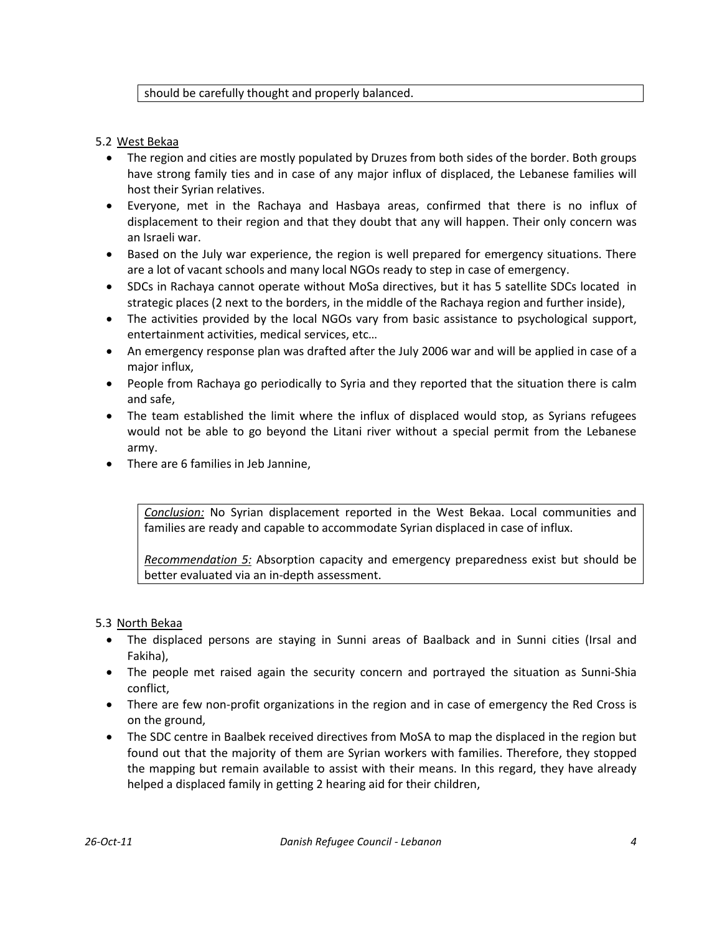#### should be carefully thought and properly balanced.

#### 5.2 West Bekaa

- The region and cities are mostly populated by Druzes from both sides of the border. Both groups have strong family ties and in case of any major influx of displaced, the Lebanese families will host their Syrian relatives.
- Everyone, met in the Rachaya and Hasbaya areas, confirmed that there is no influx of displacement to their region and that they doubt that any will happen. Their only concern was an Israeli war.
- Based on the July war experience, the region is well prepared for emergency situations. There are a lot of vacant schools and many local NGOs ready to step in case of emergency.
- SDCs in Rachaya cannot operate without MoSa directives, but it has 5 satellite SDCs located in strategic places (2 next to the borders, in the middle of the Rachaya region and further inside),
- The activities provided by the local NGOs vary from basic assistance to psychological support, entertainment activities, medical services, etc…
- An emergency response plan was drafted after the July 2006 war and will be applied in case of a major influx,
- People from Rachaya go periodically to Syria and they reported that the situation there is calm and safe,
- The team established the limit where the influx of displaced would stop, as Syrians refugees would not be able to go beyond the Litani river without a special permit from the Lebanese army.
- There are 6 families in Jeb Jannine,

*Conclusion:* No Syrian displacement reported in the West Bekaa. Local communities and families are ready and capable to accommodate Syrian displaced in case of influx.

*Recommendation 5:* Absorption capacity and emergency preparedness exist but should be better evaluated via an in-depth assessment.

## 5.3 North Bekaa

- The displaced persons are staying in Sunni areas of Baalback and in Sunni cities (Irsal and Fakiha),
- The people met raised again the security concern and portrayed the situation as Sunni-Shia conflict,
- There are few non-profit organizations in the region and in case of emergency the Red Cross is on the ground,
- The SDC centre in Baalbek received directives from MoSA to map the displaced in the region but found out that the majority of them are Syrian workers with families. Therefore, they stopped the mapping but remain available to assist with their means. In this regard, they have already helped a displaced family in getting 2 hearing aid for their children,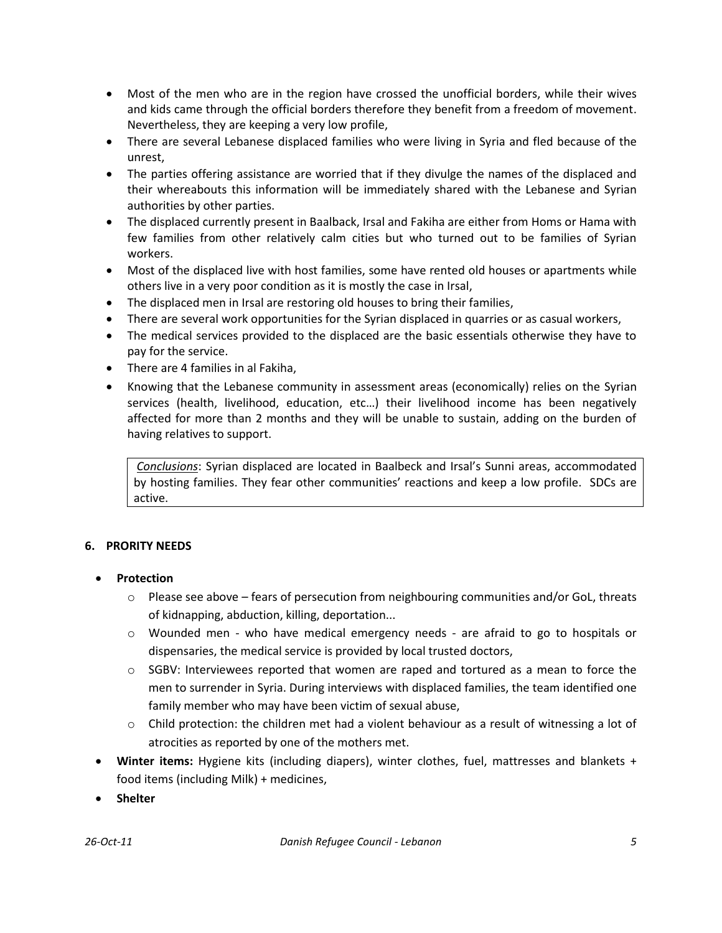- Most of the men who are in the region have crossed the unofficial borders, while their wives and kids came through the official borders therefore they benefit from a freedom of movement. Nevertheless, they are keeping a very low profile,
- There are several Lebanese displaced families who were living in Syria and fled because of the unrest,
- The parties offering assistance are worried that if they divulge the names of the displaced and their whereabouts this information will be immediately shared with the Lebanese and Syrian authorities by other parties.
- The displaced currently present in Baalback, Irsal and Fakiha are either from Homs or Hama with few families from other relatively calm cities but who turned out to be families of Syrian workers.
- Most of the displaced live with host families, some have rented old houses or apartments while others live in a very poor condition as it is mostly the case in Irsal,
- The displaced men in Irsal are restoring old houses to bring their families,
- There are several work opportunities for the Syrian displaced in quarries or as casual workers,
- The medical services provided to the displaced are the basic essentials otherwise they have to pay for the service.
- There are 4 families in al Fakiha,
- Knowing that the Lebanese community in assessment areas (economically) relies on the Syrian services (health, livelihood, education, etc…) their livelihood income has been negatively affected for more than 2 months and they will be unable to sustain, adding on the burden of having relatives to support.

*Conclusions*: Syrian displaced are located in Baalbeck and Irsal's Sunni areas, accommodated by hosting families. They fear other communities' reactions and keep a low profile. SDCs are active.

## **6. PRORITY NEEDS**

- **Protection**
	- $\circ$  Please see above fears of persecution from neighbouring communities and/or GoL, threats of kidnapping, abduction, killing, deportation...
	- o Wounded men who have medical emergency needs are afraid to go to hospitals or dispensaries, the medical service is provided by local trusted doctors,
	- $\circ$  SGBV: Interviewees reported that women are raped and tortured as a mean to force the men to surrender in Syria. During interviews with displaced families, the team identified one family member who may have been victim of sexual abuse,
	- $\circ$  Child protection: the children met had a violent behaviour as a result of witnessing a lot of atrocities as reported by one of the mothers met.
- **Winter items:** Hygiene kits (including diapers), winter clothes, fuel, mattresses and blankets + food items (including Milk) + medicines,
- **Shelter**